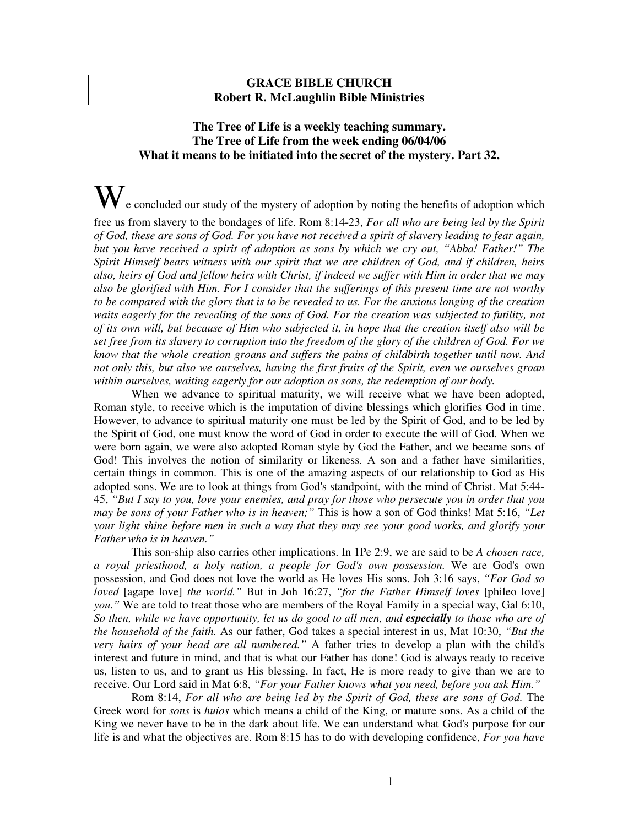## **GRACE BIBLE CHURCH Robert R. McLaughlin Bible Ministries**

## **The Tree of Life is a weekly teaching summary. The Tree of Life from the week ending 06/04/06 What it means to be initiated into the secret of the mystery. Part 32.**

 $\bf{W}$  e concluded our study of the mystery of adoption by noting the benefits of adoption which

free us from slavery to the bondages of life. Rom 8:14-23, *For all who are being led by the Spirit* of God, these are sons of God. For you have not received a spirit of slavery leading to fear again, *but you have received a spirit of adoption as sons by which we cry out, "Abba! Father!" The Spirit Himself bears witness with our spirit that we are children of God, and if children, heirs* also, heirs of God and fellow heirs with Christ, if indeed we suffer with Him in order that we may *also be glorified with Him. For I consider that the sufferings of this present time are not worthy* to be compared with the glory that is to be revealed to us. For the anxious longing of the creation waits eagerly for the revealing of the sons of God. For the creation was subjected to futility, not of its own will, but because of Him who subjected it, in hope that the creation itself also will be set free from its slavery to corruption into the freedom of the glory of the children of God. For we *know that the whole creation groans and suffers the pains of childbirth together until now. And* not only this, but also we ourselves, having the first fruits of the Spirit, even we ourselves groan *within ourselves, waiting eagerly for our adoption as sons, the redemption of our body.*

When we advance to spiritual maturity, we will receive what we have been adopted, Roman style, to receive which is the imputation of divine blessings which glorifies God in time. However, to advance to spiritual maturity one must be led by the Spirit of God, and to be led by the Spirit of God, one must know the word of God in order to execute the will of God. When we were born again, we were also adopted Roman style by God the Father, and we became sons of God! This involves the notion of similarity or likeness. A son and a father have similarities, certain things in common. This is one of the amazing aspects of our relationship to God as His adopted sons. We are to look at things from God's standpoint, with the mind of Christ. Mat 5:44- 45, "But I say to you, love your enemies, and pray for those who persecute you in order that you *may be sons of your Father who is in heaven;"* This is how a son of God thinks! Mat 5:16, *"Let* your light shine before men in such a way that they may see your good works, and glorify your *Father who is in heaven."*

This son-ship also carries other implications. In 1Pe 2:9, we are said to be *A chosen race, a royal priesthood, a holy nation, a people for God's own possession.* We are God's own possession, and God does not love the world as He loves His sons. Joh 3:16 says, *"For God so loved* [agape love] *the world."* But in Joh 16:27, *"for the Father Himself loves* [phileo love] *you."* We are told to treat those who are members of the Royal Family in a special way, Gal 6:10, So then, while we have opportunity, let us do good to all men, and especially to those who are of *the household of the faith.* As our father, God takes a special interest in us, Mat 10:30, *"But the very hairs of your head are all numbered."* A father tries to develop a plan with the child's interest and future in mind, and that is what our Father has done! God is always ready to receive us, listen to us, and to grant us His blessing. In fact, He is more ready to give than we are to receive. Our Lord said in Mat 6:8, *"For your Father knows what you need, before you ask Him."*

Rom 8:14, *For all who are being led by the Spirit of God, these are sons of God.* The Greek word for *sons* is *huios* which means a child of the King, or mature sons. As a child of the King we never have to be in the dark about life. We can understand what God's purpose for our life is and what the objectives are. Rom 8:15 has to do with developing confidence, *For you have*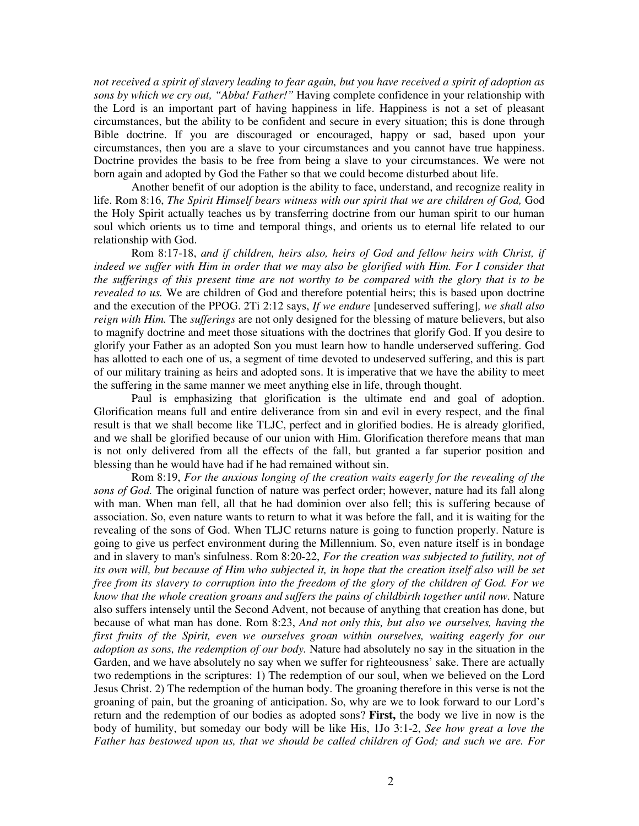not received a spirit of slavery leading to fear again, but you have received a spirit of adoption as *sons by which we cry out, "Abba! Father!"* Having complete confidence in your relationship with the Lord is an important part of having happiness in life. Happiness is not a set of pleasant circumstances, but the ability to be confident and secure in every situation; this is done through Bible doctrine. If you are discouraged or encouraged, happy or sad, based upon your circumstances, then you are a slave to your circumstances and you cannot have true happiness. Doctrine provides the basis to be free from being a slave to your circumstances. We were not born again and adopted by God the Father so that we could become disturbed about life.

Another benefit of our adoption is the ability to face, understand, and recognize reality in life. Rom 8:16, *The Spirit Himself bears witness with our spirit that we are children of God,* God the Holy Spirit actually teaches us by transferring doctrine from our human spirit to our human soul which orients us to time and temporal things, and orients us to eternal life related to our relationship with God.

Rom 8:17-18, *and if children, heirs also, heirs of God and fellow heirs with Christ, if* indeed we suffer with Him in order that we may also be glorified with Him. For I consider that the sufferings of this present time are not worthy to be compared with the glory that is to be *revealed to us.* We are children of God and therefore potential heirs; this is based upon doctrine and the execution of the PPOG. 2Ti 2:12 says, *If we endure* [undeserved suffering]*, we shall also reign with Him.* The *sufferings* are not only designed for the blessing of mature believers, but also to magnify doctrine and meet those situations with the doctrines that glorify God. If you desire to glorify your Father as an adopted Son you must learn how to handle underserved suffering. God has allotted to each one of us, a segment of time devoted to undeserved suffering, and this is part of our military training as heirs and adopted sons. It is imperative that we have the ability to meet the suffering in the same manner we meet anything else in life, through thought.

Paul is emphasizing that glorification is the ultimate end and goal of adoption. Glorification means full and entire deliverance from sin and evil in every respect, and the final result is that we shall become like TLJC, perfect and in glorified bodies. He is already glorified, and we shall be glorified because of our union with Him. Glorification therefore means that man is not only delivered from all the effects of the fall, but granted a far superior position and blessing than he would have had if he had remained without sin.

Rom 8:19, *For the anxious longing of the creation waits eagerly for the revealing of the sons of God.* The original function of nature was perfect order; however, nature had its fall along with man. When man fell, all that he had dominion over also fell; this is suffering because of association. So, even nature wants to return to what it was before the fall, and it is waiting for the revealing of the sons of God. When TLJC returns nature is going to function properly. Nature is going to give us perfect environment during the Millennium. So, even nature itself is in bondage and in slavery to man's sinfulness. Rom 8:20-22, *For the creation was subjected to futility, not of* its own will, but because of Him who subjected it, in hope that the creation itself also will be set free from its slavery to corruption into the freedom of the glory of the children of God. For we *know that the whole creation groans and suffers the pains of childbirth together until now.* Nature also suffers intensely until the Second Advent, not because of anything that creation has done, but because of what man has done. Rom 8:23, *And not only this, but also we ourselves, having the first fruits of the Spirit, even we ourselves groan within ourselves, waiting eagerly for our adoption as sons, the redemption of our body.* Nature had absolutely no say in the situation in the Garden, and we have absolutely no say when we suffer for righteousness' sake. There are actually two redemptions in the scriptures: 1) The redemption of our soul, when we believed on the Lord Jesus Christ. 2) The redemption of the human body. The groaning therefore in this verse is not the groaning of pain, but the groaning of anticipation. So, why are we to look forward to our Lord's return and the redemption of our bodies as adopted sons? **First,** the body we live in now is the body of humility, but someday our body will be like His, 1Jo 3:1-2, *See how great a love the Father has bestowed upon us, that we should be called children of God; and such we are. For*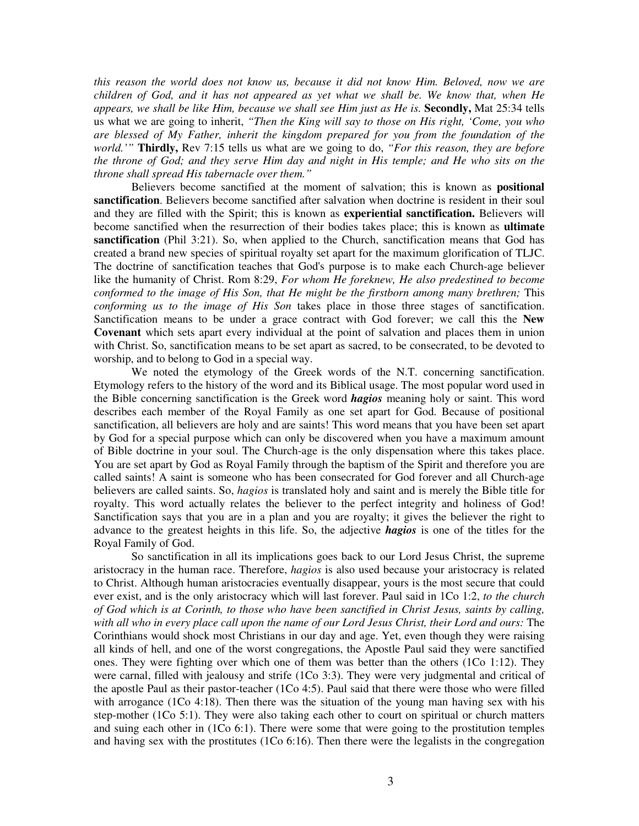*this reason the world does not know us, because it did not know Him. Beloved, now we are children of God, and it has not appeared as yet what we shall be. We know that, when He appears, we shall be like Him, because we shall see Him just as He is.* **Secondly,** Mat 25:34 tells us what we are going to inherit, *"Then the King will say to those on His right, 'Come, you who are blessed of My Father, inherit the kingdom prepared for you from the foundation of the world.'"* **Thirdly,** Rev 7:15 tells us what are we going to do, *"For this reason, they are before* the throne of God; and they serve Him day and night in His temple; and He who sits on the *throne shall spread His tabernacle over them."*

Believers become sanctified at the moment of salvation; this is known as **positional sanctification**. Believers become sanctified after salvation when doctrine is resident in their soul and they are filled with the Spirit; this is known as **experiential sanctification.** Believers will become sanctified when the resurrection of their bodies takes place; this is known as **ultimate sanctification** (Phil 3:21). So, when applied to the Church, sanctification means that God has created a brand new species of spiritual royalty set apart for the maximum glorification of TLJC. The doctrine of sanctification teaches that God's purpose is to make each Church-age believer like the humanity of Christ. Rom 8:29, *For whom He foreknew, He also predestined to become conformed to the image of His Son, that He might be the firstborn among many brethren;* This *conforming us to the image of His Son* takes place in those three stages of sanctification. Sanctification means to be under a grace contract with God forever; we call this the **New Covenant** which sets apart every individual at the point of salvation and places them in union with Christ. So, sanctification means to be set apart as sacred, to be consecrated, to be devoted to worship, and to belong to God in a special way.

We noted the etymology of the Greek words of the N.T. concerning sanctification. Etymology refers to the history of the word and its Biblical usage. The most popular word used in the Bible concerning sanctification is the Greek word *hagios* meaning holy or saint. This word describes each member of the Royal Family as one set apart for God. Because of positional sanctification, all believers are holy and are saints! This word means that you have been set apart by God for a special purpose which can only be discovered when you have a maximum amount of Bible doctrine in your soul. The Church-age is the only dispensation where this takes place. You are set apart by God as Royal Family through the baptism of the Spirit and therefore you are called saints! A saint is someone who has been consecrated for God forever and all Church-age believers are called saints. So, *hagios* is translated holy and saint and is merely the Bible title for royalty. This word actually relates the believer to the perfect integrity and holiness of God! Sanctification says that you are in a plan and you are royalty; it gives the believer the right to advance to the greatest heights in this life. So, the adjective *hagios* is one of the titles for the Royal Family of God.

So sanctification in all its implications goes back to our Lord Jesus Christ, the supreme aristocracy in the human race. Therefore, *hagios* is also used because your aristocracy is related to Christ. Although human aristocracies eventually disappear, yours is the most secure that could ever exist, and is the only aristocracy which will last forever. Paul said in 1Co 1:2, *to the church of God which is at Corinth, to those who have been sanctified in Christ Jesus, saints by calling,* with all who in every place call upon the name of our Lord Jesus Christ, their Lord and ours: The Corinthians would shock most Christians in our day and age. Yet, even though they were raising all kinds of hell, and one of the worst congregations, the Apostle Paul said they were sanctified ones. They were fighting over which one of them was better than the others (1Co 1:12). They were carnal, filled with jealousy and strife (1Co 3:3). They were very judgmental and critical of the apostle Paul as their pastor-teacher (1Co 4:5). Paul said that there were those who were filled with arrogance (1Co 4:18). Then there was the situation of the young man having sex with his step-mother (1Co 5:1). They were also taking each other to court on spiritual or church matters and suing each other in (1Co 6:1). There were some that were going to the prostitution temples and having sex with the prostitutes (1Co 6:16). Then there were the legalists in the congregation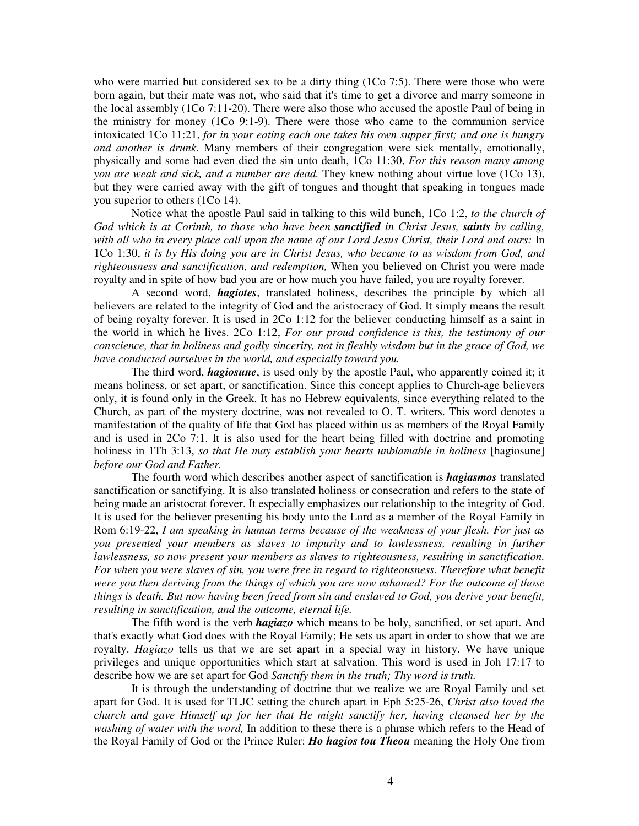who were married but considered sex to be a dirty thing (1Co 7:5). There were those who were born again, but their mate was not, who said that it's time to get a divorce and marry someone in the local assembly (1Co 7:11-20). There were also those who accused the apostle Paul of being in the ministry for money (1Co 9:1-9). There were those who came to the communion service intoxicated 1Co 11:21, *for in your eating each one takes his own supper first; and one is hungry and another is drunk.* Many members of their congregation were sick mentally, emotionally, physically and some had even died the sin unto death, 1Co 11:30, *For this reason many among you are weak and sick, and a number are dead.* They knew nothing about virtue love (1Co 13), but they were carried away with the gift of tongues and thought that speaking in tongues made you superior to others (1Co 14).

Notice what the apostle Paul said in talking to this wild bunch, 1Co 1:2, *to the church of God which is at Corinth, to those who have been sanctified in Christ Jesus, saints by calling,* with all who in every place call upon the name of our Lord Jesus Christ, their Lord and ours: In 1Co 1:30, *it is by His doing you are in Christ Jesus, who became to us wisdom from God, and righteousness and sanctification, and redemption,* When you believed on Christ you were made royalty and in spite of how bad you are or how much you have failed, you are royalty forever.

A second word, *hagiotes*, translated holiness, describes the principle by which all believers are related to the integrity of God and the aristocracy of God. It simply means the result of being royalty forever. It is used in 2Co 1:12 for the believer conducting himself as a saint in the world in which he lives. 2Co 1:12, *For our proud confidence is this, the testimony of our* conscience, that in holiness and godly sincerity, not in fleshly wisdom but in the grace of God, we *have conducted ourselves in the world, and especially toward you.*

The third word, *hagiosune*, is used only by the apostle Paul, who apparently coined it; it means holiness, or set apart, or sanctification. Since this concept applies to Church-age believers only, it is found only in the Greek. It has no Hebrew equivalents, since everything related to the Church, as part of the mystery doctrine, was not revealed to O. T. writers. This word denotes a manifestation of the quality of life that God has placed within us as members of the Royal Family and is used in 2Co 7:1. It is also used for the heart being filled with doctrine and promoting holiness in 1Th 3:13, *so that He may establish your hearts unblamable in holiness* [hagiosune] *before our God and Father.*

The fourth word which describes another aspect of sanctification is *hagiasmos* translated sanctification or sanctifying. It is also translated holiness or consecration and refers to the state of being made an aristocrat forever. It especially emphasizes our relationship to the integrity of God. It is used for the believer presenting his body unto the Lord as a member of the Royal Family in Rom 6:19-22, *I am speaking in human terms because of the weakness of your flesh. For just as you presented your members as slaves to impurity and to lawlessness, resulting in further lawlessness, so now present your members as slaves to righteousness, resulting in sanctification. For when you were slaves of sin, you were free in regard to righteousness. Therefore what benefit were you then deriving from the things of which you are now ashamed? For the outcome of those things is death. But now having been freed from sin and enslaved to God, you derive your benefit, resulting in sanctification, and the outcome, eternal life.*

The fifth word is the verb *hagiazo* which means to be holy, sanctified, or set apart. And that's exactly what God does with the Royal Family; He sets us apart in order to show that we are royalty. *Hagiazo* tells us that we are set apart in a special way in history. We have unique privileges and unique opportunities which start at salvation. This word is used in Joh 17:17 to describe how we are set apart for God *Sanctify them in the truth; Thy word is truth.*

It is through the understanding of doctrine that we realize we are Royal Family and set apart for God. It is used for TLJC setting the church apart in Eph 5:25-26, *Christ also loved the church and gave Himself up for her that He might sanctify her, having cleansed her by the washing of water with the word,* In addition to these there is a phrase which refers to the Head of the Royal Family of God or the Prince Ruler: *Ho hagios tou Theou* meaning the Holy One from